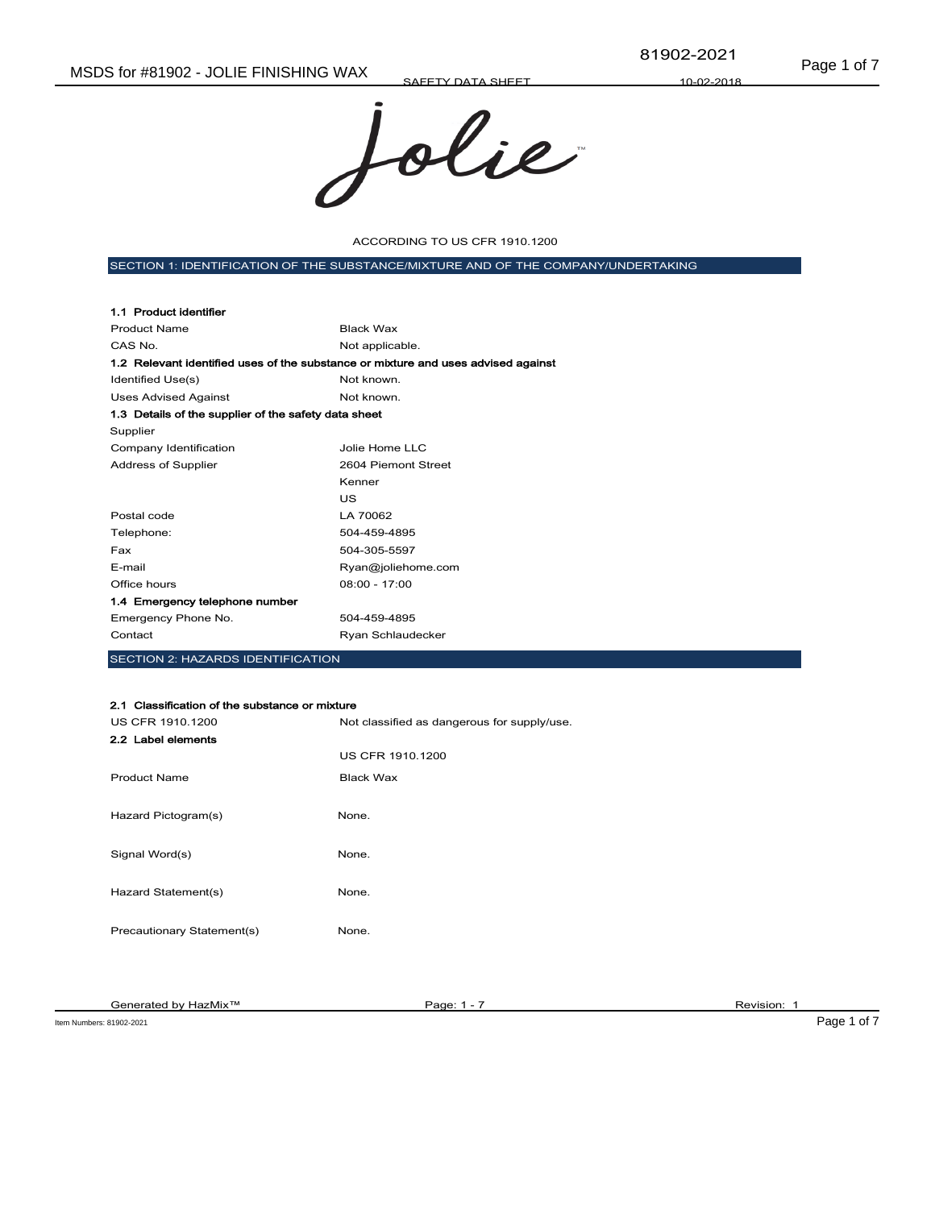SAFETY DATA SHEET



ACCORDING TO US CFR 1910.1200

SECTION 1: IDENTIFICATION OF THE SUBSTANCE/MIXTURE AND OF THE COMPANY/UNDERTAKING

| 1.1 Product identifier                                                            |                     |
|-----------------------------------------------------------------------------------|---------------------|
| <b>Product Name</b>                                                               | <b>Black Wax</b>    |
| CAS No.                                                                           | Not applicable.     |
| 1.2 Relevant identified uses of the substance or mixture and uses advised against |                     |
| Identified Use(s)                                                                 | Not known.          |
| <b>Uses Advised Against</b>                                                       | Not known.          |
| 1.3 Details of the supplier of the safety data sheet                              |                     |
| Supplier                                                                          |                     |
| Company Identification                                                            | Jolie Home LLC      |
| Address of Supplier                                                               | 2604 Piemont Street |
|                                                                                   | Kenner              |
|                                                                                   | US                  |
| Postal code                                                                       | LA 70062            |
| Telephone:                                                                        | 504-459-4895        |
| Fax                                                                               | 504-305-5597        |
| E-mail                                                                            | Ryan@joliehome.com  |
| Office hours                                                                      | $08:00 - 17:00$     |
| 1.4 Emergency telephone number                                                    |                     |
| Emergency Phone No.                                                               | 504-459-4895        |
| Contact                                                                           | Ryan Schlaudecker   |
|                                                                                   |                     |

SECTION 2: HAZARDS IDENTIFICATION

#### 2.1 Classification of the substance or mixture

| US CFR 1910.1200           | Not classified as dangerous for supply/use. |
|----------------------------|---------------------------------------------|
| 2.2 Label elements         |                                             |
|                            | <b>US CFR 1910.1200</b>                     |
| <b>Product Name</b>        | Black Wax                                   |
|                            |                                             |
| Hazard Pictogram(s)        | None.                                       |
|                            |                                             |
| Signal Word(s)             | None.                                       |
|                            |                                             |
| Hazard Statement(s)        | None.                                       |
|                            |                                             |
| Precautionary Statement(s) | None.                                       |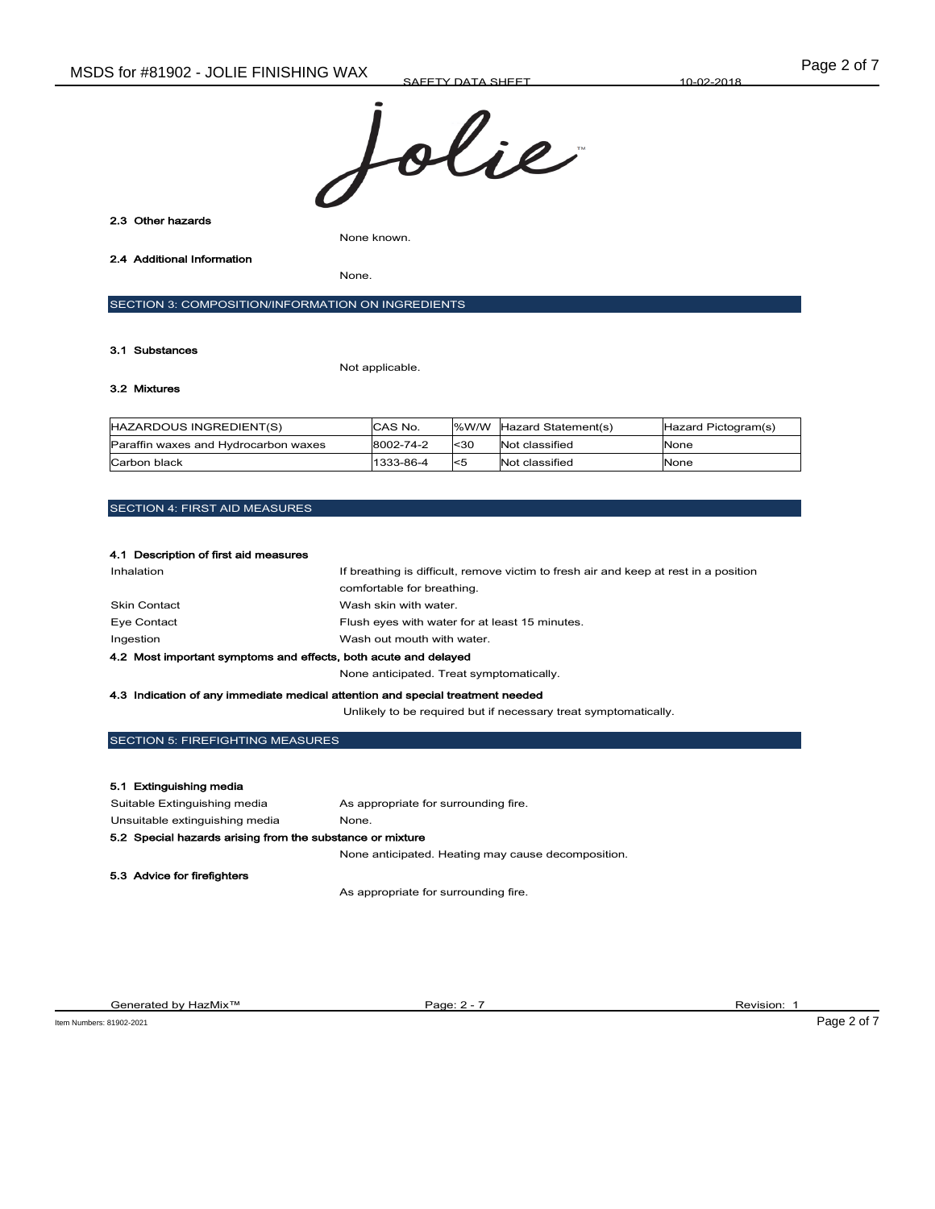

2.3 Other hazards

None known.

2.4 Additional Information

None.

SECTION 3: COMPOSITION/INFORMATION ON INGREDIENTS

#### 3.1 Substances

Not applicable.

# 3.2 Mixtures

| HAZARDOUS INGREDIENT(S)              | CAS No.   |          | %W/W Hazard Statement(s) | Hazard Pictogram(s) |
|--------------------------------------|-----------|----------|--------------------------|---------------------|
| Paraffin waxes and Hydrocarbon waxes | 8002-74-2 | $30$     | Not classified           | None                |
| Carbon black                         | 1333-86-4 | $\leq 5$ | Not classified           | None                |

## SECTION 4: FIRST AID MEASURES

| 4.1 Description of first aid measures                                          |                                                                                      |  |
|--------------------------------------------------------------------------------|--------------------------------------------------------------------------------------|--|
| Inhalation                                                                     | If breathing is difficult, remove victim to fresh air and keep at rest in a position |  |
|                                                                                | comfortable for breathing.                                                           |  |
| <b>Skin Contact</b>                                                            | Wash skin with water.                                                                |  |
| Eye Contact                                                                    | Flush eyes with water for at least 15 minutes.                                       |  |
| Ingestion                                                                      | Wash out mouth with water.                                                           |  |
| 4.2 Most important symptoms and effects, both acute and delayed                |                                                                                      |  |
|                                                                                | None anticipated. Treat symptomatically.                                             |  |
| 4.3 Indication of any immediate medical attention and special treatment needed |                                                                                      |  |

Unlikely to be required but if necessary treat symptomatically.

## SECTION 5: FIREFIGHTING MEASURES

#### 5.1 Extinguishing media

| Suitable Extinguishing media                              | As appropriate for surrounding fire.               |  |
|-----------------------------------------------------------|----------------------------------------------------|--|
| Unsuitable extinguishing media                            | None.                                              |  |
| 5.2 Special hazards arising from the substance or mixture |                                                    |  |
|                                                           | None anticipated. Heating may cause decomposition. |  |
| 5.3 Advice for firefighters                               |                                                    |  |
|                                                           | As appropriate for surrounding fire.               |  |

Generated by HazMix™ Page: 2 - 7 Revision: 1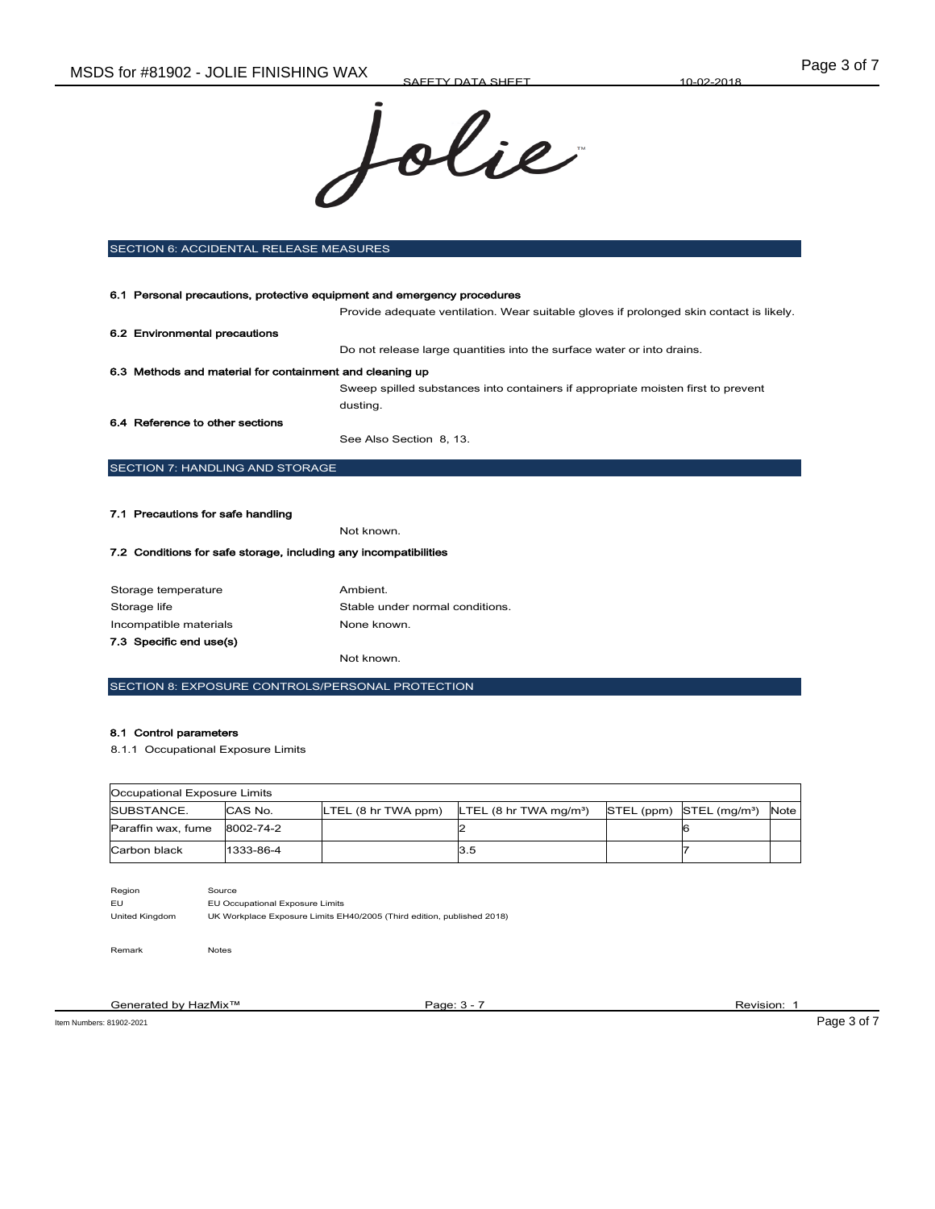

| <b>SECTION 6: ACCIDENTAL RELEASE MEASURES</b>                           |                                                                                         |  |  |
|-------------------------------------------------------------------------|-----------------------------------------------------------------------------------------|--|--|
|                                                                         |                                                                                         |  |  |
| 6.1 Personal precautions, protective equipment and emergency procedures |                                                                                         |  |  |
|                                                                         | Provide adequate ventilation. Wear suitable gloves if prolonged skin contact is likely. |  |  |
| 6.2 Environmental precautions                                           |                                                                                         |  |  |
|                                                                         | Do not release large quantities into the surface water or into drains.                  |  |  |
| 6.3 Methods and material for containment and cleaning up                |                                                                                         |  |  |
|                                                                         | Sweep spilled substances into containers if appropriate moisten first to prevent        |  |  |
|                                                                         | dusting.                                                                                |  |  |
| 6.4 Reference to other sections                                         |                                                                                         |  |  |
|                                                                         | See Also Section 8, 13.                                                                 |  |  |
| <b>SECTION 7: HANDLING AND STORAGE</b>                                  |                                                                                         |  |  |
|                                                                         |                                                                                         |  |  |
| 7.1 Precautions for safe handling                                       |                                                                                         |  |  |

Not known.

## 7.2 Conditions for safe storage, including any incompatibilities

| Storage temperature     | Ambient.                        |
|-------------------------|---------------------------------|
| Storage life            | Stable under normal conditions. |
| Incompatible materials  | None known.                     |
| 7.3 Specific end use(s) |                                 |
|                         | Not known.                      |

SECTION 8: EXPOSURE CONTROLS/PERSONAL PROTECTION

#### 8.1 Control parameters

8.1.1 Occupational Exposure Limits

| Occupational Exposure Limits |           |                     |                                                  |  |                                          |      |
|------------------------------|-----------|---------------------|--------------------------------------------------|--|------------------------------------------|------|
| SUBSTANCE.                   | CAS No.   | LTEL (8 hr TWA ppm) | LTEL $(8 \text{ hr} \text{ TWA} \text{ mg/m}^3)$ |  | $STEL$ (ppm) $STEL$ (mg/m <sup>3</sup> ) | Note |
| Paraffin wax, fume 8002-74-2 |           |                     |                                                  |  |                                          |      |
| Carbon black                 | 1333-86-4 |                     | 13.5                                             |  |                                          |      |

Region Source

EU EU Occupational Exposure Limits

United Kingdom UK Workplace Exposure Limits EH40/2005 (Third edition, published 2018)

Remark Notes

Generated by HazMix™ Page: 3 - 7 Revision: 1 Revision: 1 Revision: 1

Item Numbers: 81902-2021 Page 3 of 7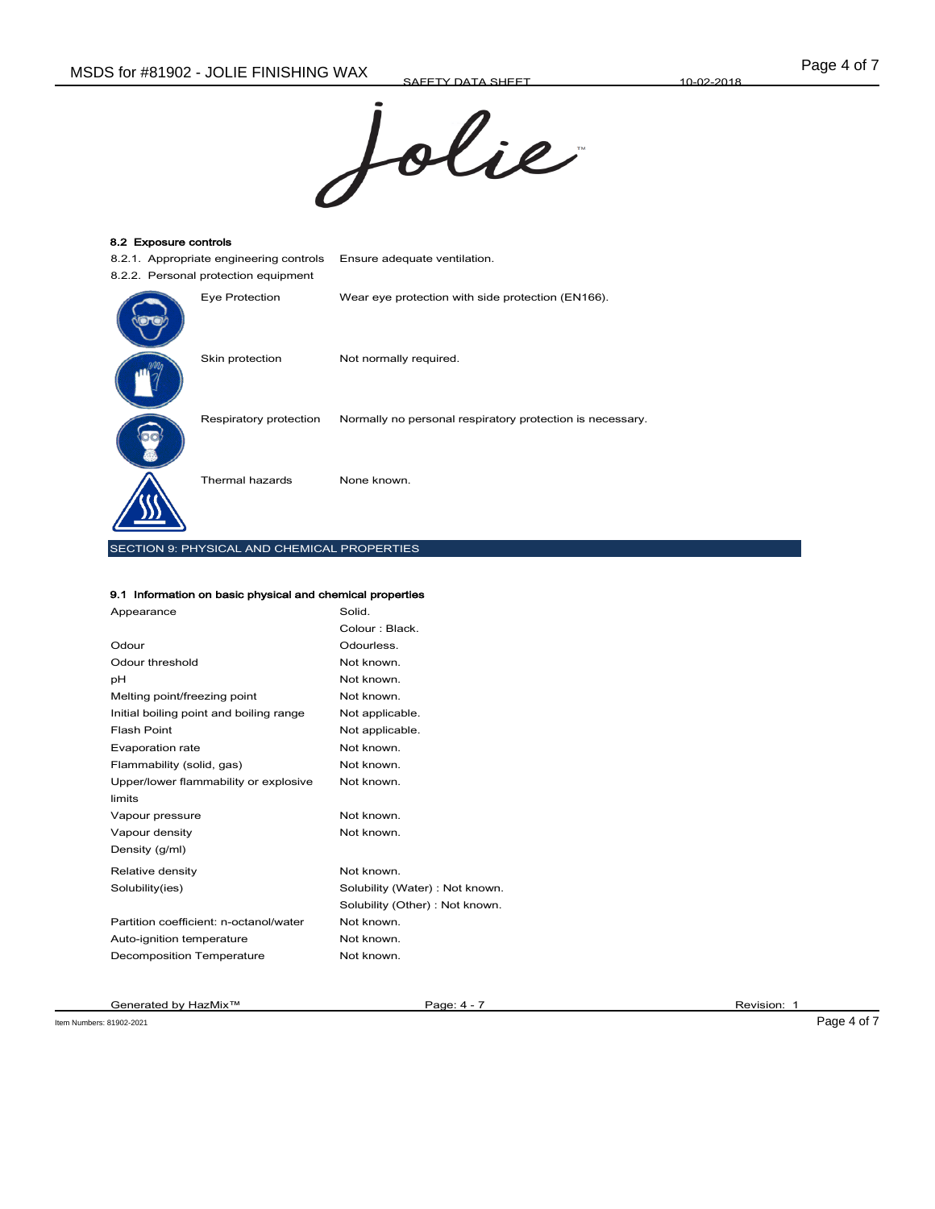SAFETY DATA SHEET



| 8.2 Exposure controls |                                             |                                                           |  |
|-----------------------|---------------------------------------------|-----------------------------------------------------------|--|
|                       | 8.2.1. Appropriate engineering controls     | Ensure adequate ventilation.                              |  |
|                       | 8.2.2. Personal protection equipment        |                                                           |  |
|                       | Eye Protection                              | Wear eye protection with side protection (EN166).         |  |
|                       | Skin protection                             | Not normally required.                                    |  |
|                       | Respiratory protection                      | Normally no personal respiratory protection is necessary. |  |
|                       | Thermal hazards                             | None known.                                               |  |
|                       | SECTION 9: PHYSICAL AND CHEMICAL PROPERTIES |                                                           |  |

# 9.1 Information on basic physical and chemical properties

| Appearance                              | Solid.                          |
|-----------------------------------------|---------------------------------|
|                                         | Colour: Black.                  |
| Odour                                   | Odourless.                      |
| Odour threshold                         | Not known.                      |
| рH                                      | Not known.                      |
| Melting point/freezing point            | Not known.                      |
| Initial boiling point and boiling range | Not applicable.                 |
| Flash Point                             | Not applicable.                 |
| Evaporation rate                        | Not known.                      |
| Flammability (solid, gas)               | Not known.                      |
| Upper/lower flammability or explosive   | Not known.                      |
| limits                                  |                                 |
| Vapour pressure                         | Not known.                      |
| Vapour density                          | Not known.                      |
| Density (g/ml)                          |                                 |
| Relative density                        | Not known.                      |
| Solubility(ies)                         | Solubility (Water): Not known.  |
|                                         | Solubility (Other) : Not known. |
| Partition coefficient: n-octanol/water  | Not known.                      |
| Auto-ignition temperature               | Not known.                      |
| <b>Decomposition Temperature</b>        | Not known.                      |
|                                         |                                 |

Item Numbers: 81902-2021 Page 4 of 7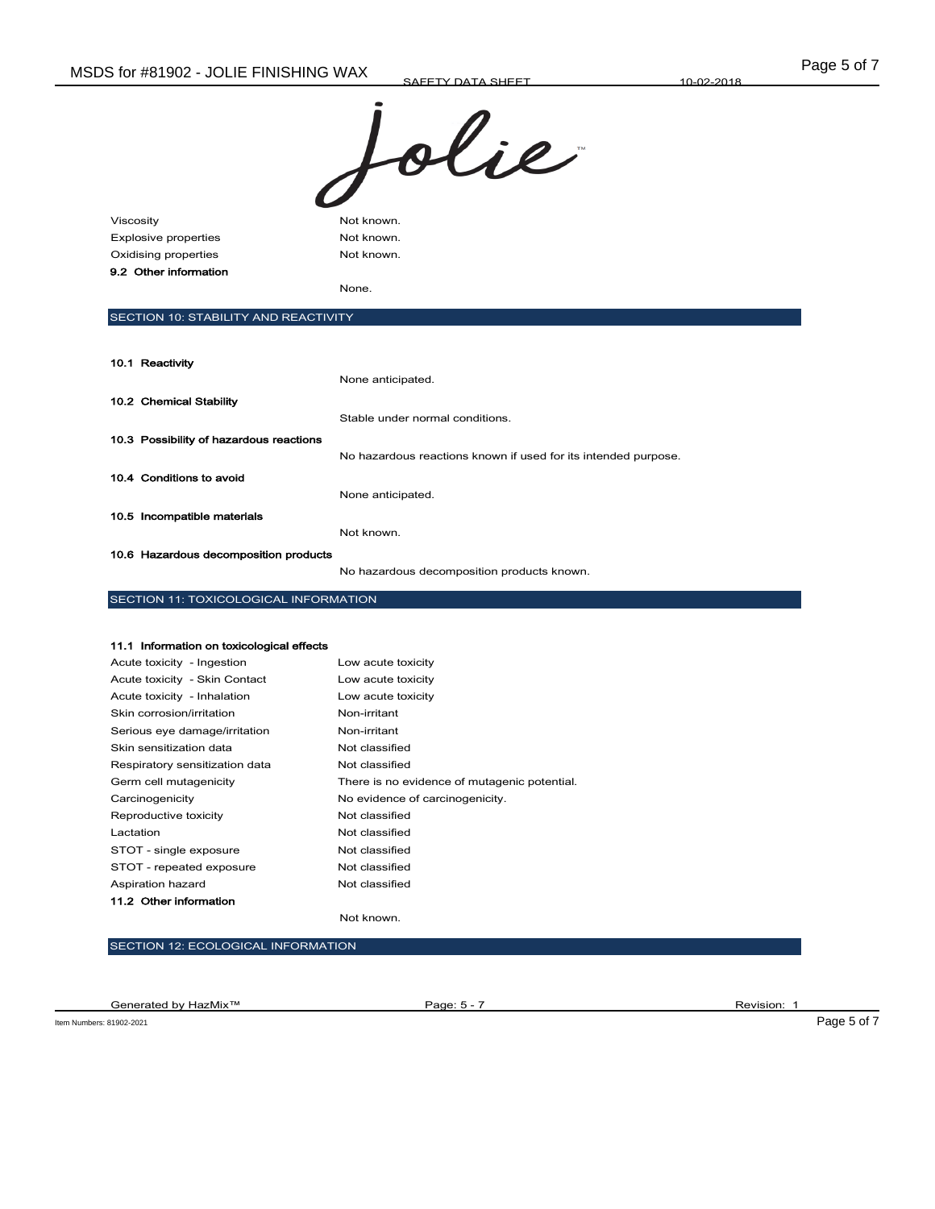SAFETY DATA SHEET



| Viscosity                   | Not known. |
|-----------------------------|------------|
| <b>Explosive properties</b> | Not known. |
| Oxidising properties        | Not known. |
| 9.2 Other information       |            |
|                             | None.      |
|                             |            |

## SECTION 10: STABILITY AND REACTIVITY

| 10.1 Reactivity                         |                                                                |
|-----------------------------------------|----------------------------------------------------------------|
|                                         | None anticipated.                                              |
| 10.2 Chemical Stability                 |                                                                |
|                                         | Stable under normal conditions.                                |
| 10.3 Possibility of hazardous reactions |                                                                |
|                                         | No hazardous reactions known if used for its intended purpose. |
| 10.4 Conditions to avoid                |                                                                |
|                                         | None anticipated.                                              |
| 10.5 Incompatible materials             |                                                                |
|                                         | Not known.                                                     |
| 10.6 Hazardous decomposition products   |                                                                |
|                                         |                                                                |

No hazardous decomposition products known.

## SECTION 11: TOXICOLOGICAL INFORMATION

## 11.1 Information on toxicological effects

| Acute toxicity - Ingestion     | Low acute toxicity                           |
|--------------------------------|----------------------------------------------|
| Acute toxicity - Skin Contact  | Low acute toxicity                           |
| Acute toxicity - Inhalation    | Low acute toxicity                           |
| Skin corrosion/irritation      | Non-irritant                                 |
| Serious eye damage/irritation  | Non-irritant                                 |
| Skin sensitization data        | Not classified                               |
| Respiratory sensitization data | Not classified                               |
| Germ cell mutagenicity         | There is no evidence of mutagenic potential. |
| Carcinogenicity                | No evidence of carcinogenicity.              |
| Reproductive toxicity          | Not classified                               |
| Lactation                      | Not classified                               |
| STOT - single exposure         | Not classified                               |
| STOT - repeated exposure       | Not classified                               |
| Aspiration hazard              | Not classified                               |
| 11.2 Other information         |                                              |

#### Not known.

#### SECTION 12: ECOLOGICAL INFORMATION

Generated by HazMix™ Page: 5 - 7 Revision: 1 Revision: 1

Item Numbers: 81902-2021 Page 5 of 7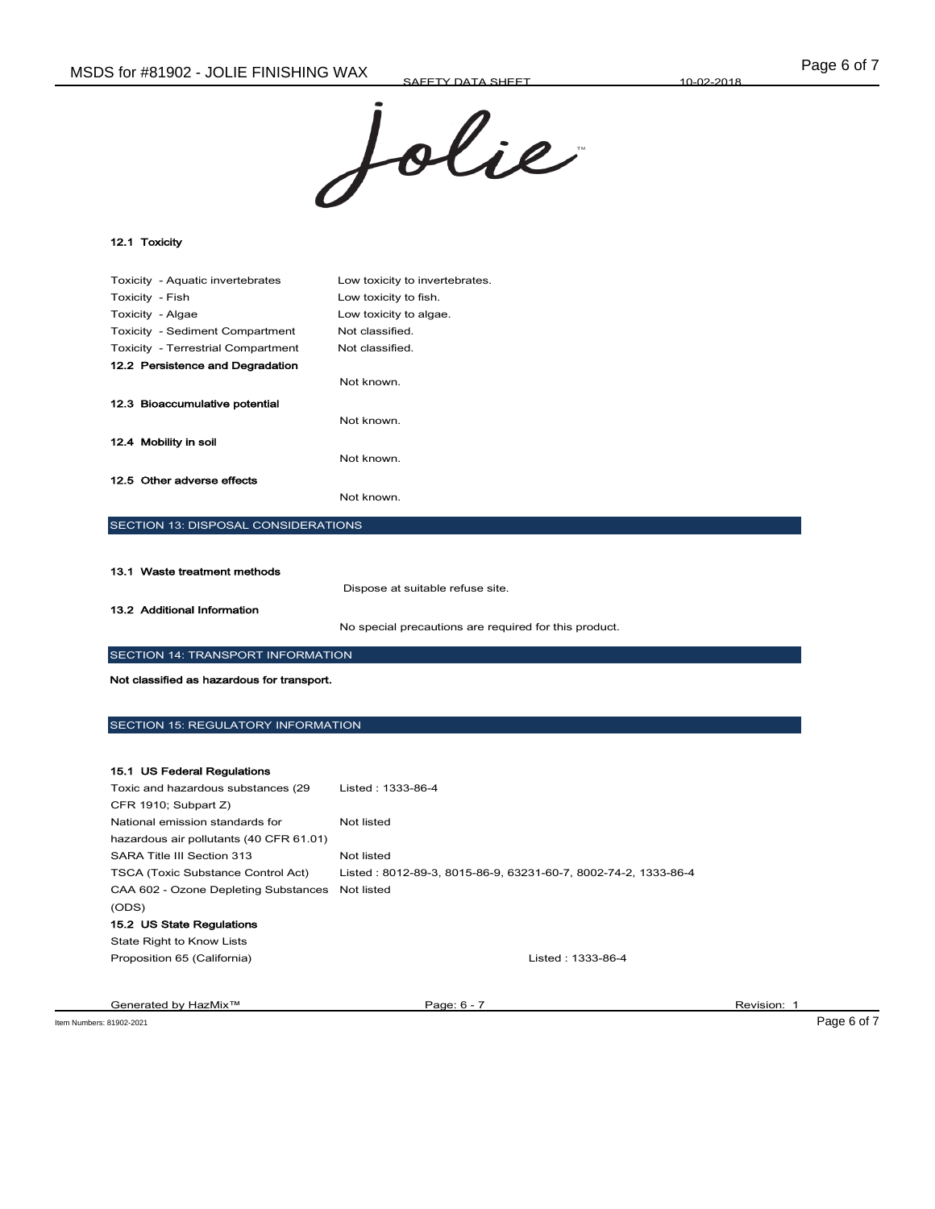

12.1 Toxicity

| Toxicity - Aquatic invertebrates           | Low toxicity to invertebrates. |  |
|--------------------------------------------|--------------------------------|--|
| Toxicity - Fish                            | Low toxicity to fish.          |  |
| Toxicity - Algae                           | Low toxicity to algae.         |  |
| Toxicity - Sediment Compartment            | Not classified.                |  |
| <b>Toxicity - Terrestrial Compartment</b>  | Not classified.                |  |
| 12.2 Persistence and Degradation           |                                |  |
|                                            | Not known.                     |  |
| 12.3 Bioaccumulative potential             |                                |  |
|                                            | Not known.                     |  |
| 12.4 Mobility in soil                      |                                |  |
|                                            | Not known.                     |  |
| 12.5 Other adverse effects                 |                                |  |
|                                            | Not known.                     |  |
| <b>SECTION 13: DISPOSAL CONSIDERATIONS</b> |                                |  |

| 13.1 Waste treatment methods | Dispose at suitable refuse site.                      |
|------------------------------|-------------------------------------------------------|
| 13.2 Additional Information  | No special precautions are required for this product. |

## SECTION 14: TRANSPORT INFORMATION

Not classified as hazardous for transport.

SECTION 15: REGULATORY INFORMATION

| 15.1 US Federal Regulations               |                                                                |             |
|-------------------------------------------|----------------------------------------------------------------|-------------|
| Toxic and hazardous substances (29        | Listed: 1333-86-4                                              |             |
| CFR 1910; Subpart Z)                      |                                                                |             |
| National emission standards for           | Not listed                                                     |             |
| hazardous air pollutants (40 CFR 61.01)   |                                                                |             |
| SARA Title III Section 313                | Not listed                                                     |             |
| <b>TSCA (Toxic Substance Control Act)</b> | Listed: 8012-89-3, 8015-86-9, 63231-60-7, 8002-74-2, 1333-86-4 |             |
| CAA 602 - Ozone Depleting Substances      | Not listed                                                     |             |
| (ODS)                                     |                                                                |             |
| 15.2 US State Regulations                 |                                                                |             |
| State Right to Know Lists                 |                                                                |             |
| Proposition 65 (California)               | Listed: 1333-86-4                                              |             |
|                                           |                                                                |             |
|                                           |                                                                |             |
| Generated by HazMix <sup>™</sup>          | Page: 6 - 7                                                    | Revision: 1 |